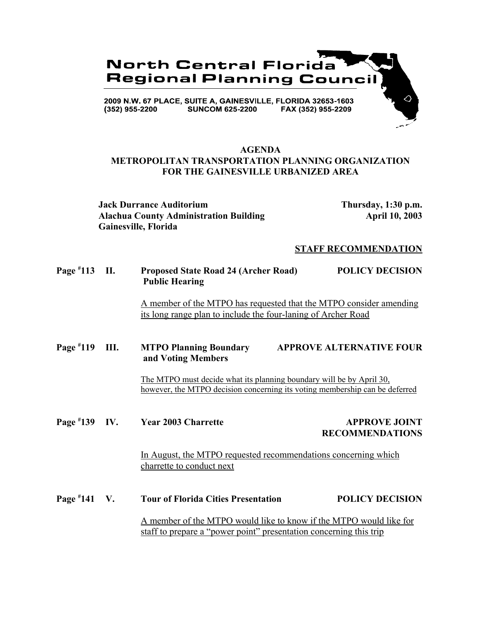

### **AGENDA METROPOLITAN TRANSPORTATION PLANNING ORGANIZATION FOR THE GAINESVILLE URBANIZED AREA**

**Jack Durrance Auditorium Thursday, 1:30 p.m.** Alachua County Administration Building **Alachua County Administration Building** April 10, 2003 **Gainesville, Florida**

#### **STAFF RECOMMENDATION**

**Page # 113 II. Proposed State Road 24 (Archer Road) POLICY DECISION Public Hearing**

> A member of the MTPO has requested that the MTPO consider amending its long range plan to include the four-laning of Archer Road

**Page # 119 IV. MTPO Planning Boundary APPROVE ALTERNATIVE FOUR and Voting Members**

> The MTPO must decide what its planning boundary will be by April 30, however, the MTPO decision concerning its voting membership can be deferred

**Page #**

### **139 IV. Year 2003 Charrette APPROVE JOINT RECOMMENDATIONS**

In August, the MTPO requested recommendations concerning which charrette to conduct next

**Page # 141 Tour of Florida Cities Presentation 141 POLICY DECISION** A member of the MTPO would like to know if the MTPO would like for staff to prepare a "power point" presentation concerning this trip